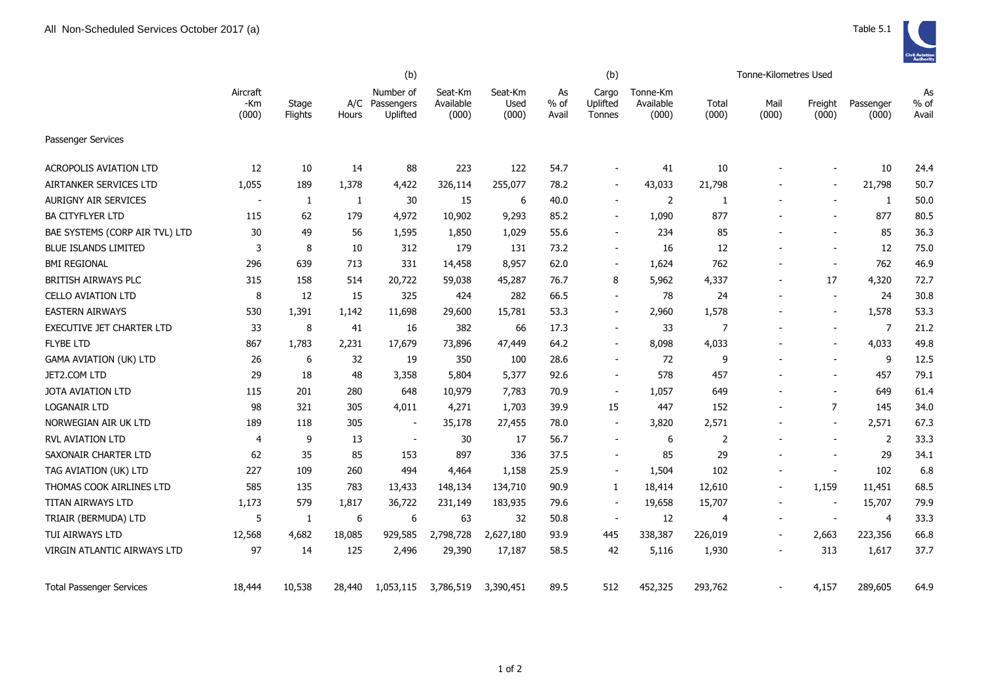|                                 | (b)                      |                  |        |                                         |                               |                          |                       | (b)                         |                                | Tonne-Kilometres Used |                          |                          |                    |                       |  |
|---------------------------------|--------------------------|------------------|--------|-----------------------------------------|-------------------------------|--------------------------|-----------------------|-----------------------------|--------------------------------|-----------------------|--------------------------|--------------------------|--------------------|-----------------------|--|
|                                 | Aircraft<br>-Km<br>(000) | Stage<br>Flights | Hours  | Number of<br>A/C Passengers<br>Uplifted | Seat-Km<br>Available<br>(000) | Seat-Km<br>Used<br>(000) | As<br>$%$ of<br>Avail | Cargo<br>Uplifted<br>Tonnes | Tonne-Km<br>Available<br>(000) | Total<br>(000)        | Mail<br>(000)            | Freight<br>(000)         | Passenger<br>(000) | As<br>$%$ of<br>Avail |  |
| Passenger Services              |                          |                  |        |                                         |                               |                          |                       |                             |                                |                       |                          |                          |                    |                       |  |
| <b>ACROPOLIS AVIATION LTD</b>   | 12                       | 10               | 14     | 88                                      | 223                           | 122                      | 54.7                  |                             | 41                             | 10                    |                          |                          | 10                 | 24.4                  |  |
| AIRTANKER SERVICES LTD          | 1,055                    | 189              | 1,378  | 4,422                                   | 326,114                       | 255,077                  | 78.2                  | $\overline{\phantom{a}}$    | 43,033                         | 21,798                |                          |                          | 21,798             | 50.7                  |  |
| <b>AURIGNY AIR SERVICES</b>     | $\sim$                   | 1                | 1      | 30                                      | 15                            | 6                        | 40.0                  | $\sim$                      | 2                              | 1                     |                          | $\overline{\phantom{a}}$ | 1                  | 50.0                  |  |
| <b>BA CITYFLYER LTD</b>         | 115                      | 62               | 179    | 4,972                                   | 10,902                        | 9,293                    | 85.2                  | $\overline{\phantom{a}}$    | 1,090                          | 877                   |                          |                          | 877                | 80.5                  |  |
| BAE SYSTEMS (CORP AIR TVL) LTD  | 30                       | 49               | 56     | 1,595                                   | 1,850                         | 1,029                    | 55.6                  | $\overline{\phantom{a}}$    | 234                            | 85                    |                          |                          | 85                 | 36.3                  |  |
| <b>BLUE ISLANDS LIMITED</b>     | 3                        | 8                | 10     | 312                                     | 179                           | 131                      | 73.2                  | $\blacksquare$              | 16                             | 12                    |                          | $\overline{\phantom{a}}$ | 12                 | 75.0                  |  |
| <b>BMI REGIONAL</b>             | 296                      | 639              | 713    | 331                                     | 14,458                        | 8,957                    | 62.0                  | $\sim$                      | 1,624                          | 762                   |                          | $\blacksquare$           | 762                | 46.9                  |  |
| BRITISH AIRWAYS PLC             | 315                      | 158              | 514    | 20,722                                  | 59,038                        | 45,287                   | 76.7                  | 8                           | 5,962                          | 4,337                 |                          | 17                       | 4,320              | 72.7                  |  |
| CELLO AVIATION LTD              | 8                        | 12               | 15     | 325                                     | 424                           | 282                      | 66.5                  | $\sim$                      | 78                             | 24                    | ÷                        | $\overline{\phantom{a}}$ | 24                 | 30.8                  |  |
| <b>EASTERN AIRWAYS</b>          | 530                      | 1,391            | 1,142  | 11,698                                  | 29,600                        | 15,781                   | 53.3                  | $\blacksquare$              | 2,960                          | 1,578                 |                          | $\blacksquare$           | 1,578              | 53.3                  |  |
| EXECUTIVE JET CHARTER LTD       | 33                       | 8                | 41     | 16                                      | 382                           | 66                       | 17.3                  | $\overline{\phantom{a}}$    | 33                             | $\overline{7}$        |                          | $\blacksquare$           | 7                  | 21.2                  |  |
| <b>FLYBE LTD</b>                | 867                      | 1,783            | 2,231  | 17,679                                  | 73,896                        | 47,449                   | 64.2                  | $\overline{\phantom{a}}$    | 8,098                          | 4,033                 |                          | $\overline{\phantom{a}}$ | 4,033              | 49.8                  |  |
| <b>GAMA AVIATION (UK) LTD</b>   | 26                       | 6                | 32     | 19                                      | 350                           | 100                      | 28.6                  | $\blacksquare$              | 72                             | 9                     |                          |                          | 9                  | 12.5                  |  |
| JET2.COM LTD                    | 29                       | 18               | 48     | 3,358                                   | 5,804                         | 5,377                    | 92.6                  | $\blacksquare$              | 578                            | 457                   |                          |                          | 457                | 79.1                  |  |
| JOTA AVIATION LTD               | 115                      | 201              | 280    | 648                                     | 10,979                        | 7,783                    | 70.9                  | $\blacksquare$              | 1,057                          | 649                   |                          | $\sim$                   | 649                | 61.4                  |  |
| <b>LOGANAIR LTD</b>             | 98                       | 321              | 305    | 4,011                                   | 4,271                         | 1,703                    | 39.9                  | 15                          | 447                            | 152                   | $\overline{\phantom{a}}$ | $\overline{7}$           | 145                | 34.0                  |  |
| NORWEGIAN AIR UK LTD            | 189                      | 118              | 305    | $\blacksquare$                          | 35,178                        | 27,455                   | 78.0                  | $\overline{\phantom{a}}$    | 3,820                          | 2,571                 |                          | $\blacksquare$           | 2,571              | 67.3                  |  |
| RVL AVIATION LTD                | 4                        | 9                | 13     | $\overline{\phantom{a}}$                | 30                            | 17                       | 56.7                  | $\blacksquare$              | 6                              | 2                     |                          |                          | $\overline{2}$     | 33.3                  |  |
| SAXONAIR CHARTER LTD            | 62                       | 35               | 85     | 153                                     | 897                           | 336                      | 37.5                  | $\overline{\phantom{a}}$    | 85                             | 29                    |                          |                          | 29                 | 34.1                  |  |
| TAG AVIATION (UK) LTD           | 227                      | 109              | 260    | 494                                     | 4,464                         | 1,158                    | 25.9                  | $\blacksquare$              | 1,504                          | 102                   |                          | $\blacksquare$           | 102                | 6.8                   |  |
| THOMAS COOK AIRLINES LTD        | 585                      | 135              | 783    | 13,433                                  | 148,134                       | 134,710                  | 90.9                  | 1                           | 18,414                         | 12,610                | $\overline{a}$           | 1,159                    | 11,451             | 68.5                  |  |
| TITAN AIRWAYS LTD               | 1,173                    | 579              | 1,817  | 36,722                                  | 231,149                       | 183,935                  | 79.6                  |                             | 19,658                         | 15,707                |                          |                          | 15,707             | 79.9                  |  |
| TRIAIR (BERMUDA) LTD            | 5                        | 1                | 6      | 6                                       | 63                            | 32                       | 50.8                  | $\blacksquare$              | 12                             | 4                     |                          |                          | $\overline{4}$     | 33.3                  |  |
| TUI AIRWAYS LTD                 | 12,568                   | 4,682            | 18,085 | 929,585                                 | 2,798,728                     | 2,627,180                | 93.9                  | 445                         | 338,387                        | 226,019               | $\overline{\phantom{a}}$ | 2,663                    | 223,356            | 66.8                  |  |
| VIRGIN ATLANTIC AIRWAYS LTD     | 97                       | 14               | 125    | 2,496                                   | 29,390                        | 17,187                   | 58.5                  | 42                          | 5,116                          | 1,930                 |                          | 313                      | 1,617              | 37.7                  |  |
| <b>Total Passenger Services</b> | 18,444                   | 10,538           | 28,440 | 1,053,115                               | 3,786,519                     | 3,390,451                | 89.5                  | 512                         | 452,325                        | 293,762               |                          | 4,157                    | 289,605            | 64.9                  |  |